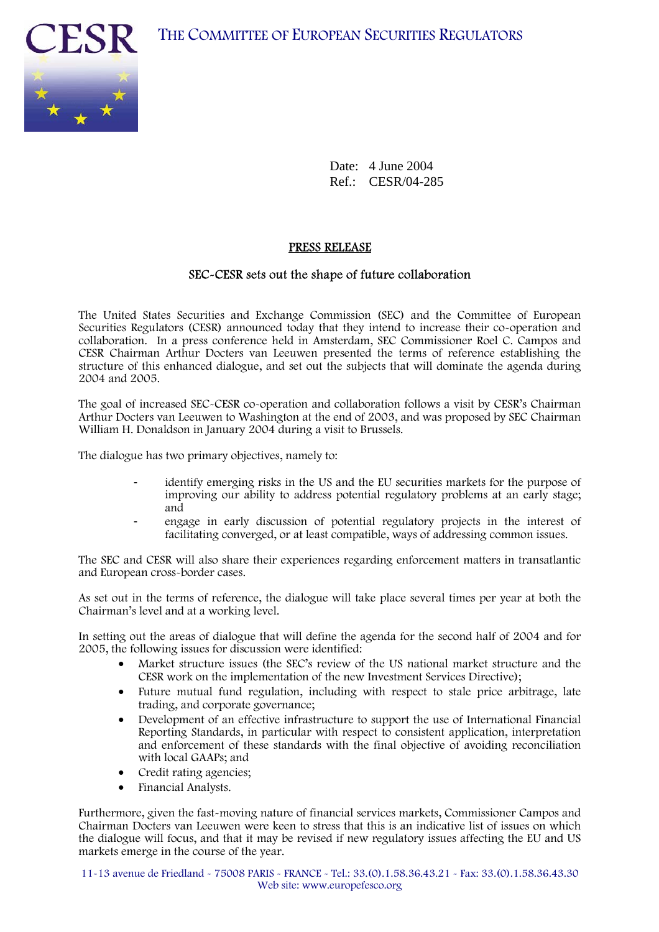

Date: 4 June 2004 Ref.: CESR/04-285

## PRESS RELEASE

## SEC-CESR sets out the shape of future collaboration

The United States Securities and Exchange Commission (SEC) and the Committee of European Securities Regulators (CESR) announced today that they intend to increase their co-operation and collaboration. In a press conference held in Amsterdam, SEC Commissioner Roel C. Campos and CESR Chairman Arthur Docters van Leeuwen presented the terms of reference establishing the structure of this enhanced dialogue, and set out the subjects that will dominate the agenda during 2004 and 2005.

The goal of increased SEC-CESR co-operation and collaboration follows a visit by CESR's Chairman Arthur Docters van Leeuwen to Washington at the end of 2003, and was proposed by SEC Chairman William H. Donaldson in January 2004 during a visit to Brussels.

The dialogue has two primary objectives, namely to:

- identify emerging risks in the US and the EU securities markets for the purpose of improving our ability to address potential regulatory problems at an early stage; and
- engage in early discussion of potential regulatory projects in the interest of facilitating converged, or at least compatible, ways of addressing common issues.

The SEC and CESR will also share their experiences regarding enforcement matters in transatlantic and European cross-border cases.

As set out in the terms of reference, the dialogue will take place several times per year at both the Chairman's level and at a working level.

In setting out the areas of dialogue that will define the agenda for the second half of 2004 and for 2005, the following issues for discussion were identified:

- Market structure issues (the SEC's review of the US national market structure and the CESR work on the implementation of the new Investment Services Directive);
- Future mutual fund regulation, including with respect to stale price arbitrage, late trading, and corporate governance;
- Development of an effective infrastructure to support the use of International Financial Reporting Standards, in particular with respect to consistent application, interpretation and enforcement of these standards with the final objective of avoiding reconciliation with local GAAPs; and
- Credit rating agencies;
- Financial Analysts.

Furthermore, given the fast-moving nature of financial services markets, Commissioner Campos and Chairman Docters van Leeuwen were keen to stress that this is an indicative list of issues on which the dialogue will focus, and that it may be revised if new regulatory issues affecting the EU and US markets emerge in the course of the year.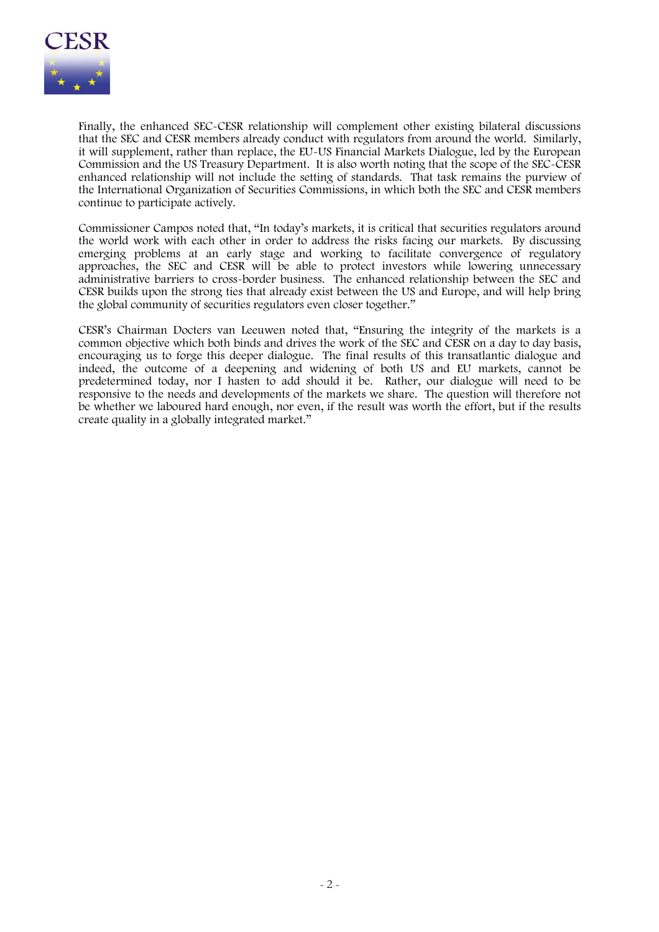

Finally, the enhanced SEC-CESR relationship will complement other existing bilateral discussions that the SEC and CESR members already conduct with regulators from around the world. Similarly, it will supplement, rather than replace, the EU-US Financial Markets Dialogue, led by the European Commission and the US Treasury Department. It is also worth noting that the scope of the SEC-CESR enhanced relationship will not include the setting of standards. That task remains the purview of the International Organization of Securities Commissions, in which both the SEC and CESR members continue to participate actively.

Commissioner Campos noted that, "In today's markets, it is critical that securities regulators around the world work with each other in order to address the risks facing our markets. By discussing emerging problems at an early stage and working to facilitate convergence of regulatory approaches, the SEC and CESR will be able to protect investors while lowering unnecessary administrative barriers to cross-border business. The enhanced relationship between the SEC and CESR builds upon the strong ties that already exist between the US and Europe, and will help bring the global community of securities regulators even closer together."

CESR's Chairman Docters van Leeuwen noted that, "Ensuring the integrity of the markets is a common objective which both binds and drives the work of the SEC and CESR on a day to day basis, encouraging us to forge this deeper dialogue. The final results of this transatlantic dialogue and indeed, the outcome of a deepening and widening of both US and EU markets, cannot be predetermined today, nor I hasten to add should it be. Rather, our dialogue will need to be responsive to the needs and developments of the markets we share. The question will therefore not be whether we laboured hard enough, nor even, if the result was worth the effort, but if the results create quality in a globally integrated market."